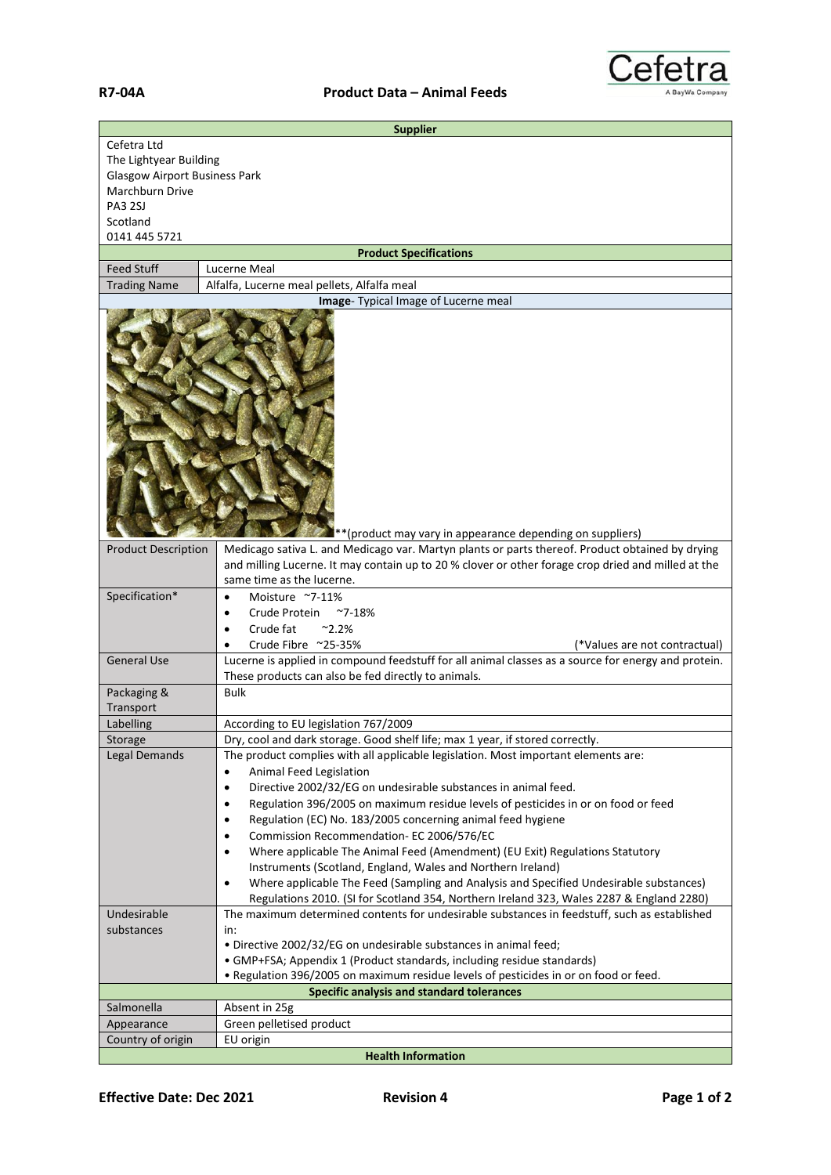

|                                       | <b>Supplier</b>                                                                                                                                            |
|---------------------------------------|------------------------------------------------------------------------------------------------------------------------------------------------------------|
| Cefetra Ltd<br>The Lightyear Building |                                                                                                                                                            |
| <b>Glasgow Airport Business Park</b>  |                                                                                                                                                            |
| Marchburn Drive                       |                                                                                                                                                            |
| <b>PA3 2SJ</b>                        |                                                                                                                                                            |
| Scotland                              |                                                                                                                                                            |
| 0141 445 5721                         |                                                                                                                                                            |
|                                       | <b>Product Specifications</b>                                                                                                                              |
| <b>Feed Stuff</b>                     | Lucerne Meal                                                                                                                                               |
| <b>Trading Name</b>                   | Alfalfa, Lucerne meal pellets, Alfalfa meal<br>Image- Typical Image of Lucerne meal                                                                        |
|                                       |                                                                                                                                                            |
|                                       | ** (product may vary in appearance depending on suppliers)                                                                                                 |
| <b>Product Description</b>            | Medicago sativa L. and Medicago var. Martyn plants or parts thereof. Product obtained by drying                                                            |
|                                       | and milling Lucerne. It may contain up to 20 % clover or other forage crop dried and milled at the                                                         |
|                                       | same time as the lucerne.                                                                                                                                  |
| Specification*                        | Moisture ~7-11%<br>$\bullet$                                                                                                                               |
|                                       | Crude Protein<br>$^{\sim}$ 7-18%                                                                                                                           |
|                                       | Crude fat<br>$^{\sim}$ 2.2%                                                                                                                                |
|                                       | Crude Fibre ~25-35%<br>(*Values are not contractual)                                                                                                       |
| <b>General Use</b>                    | Lucerne is applied in compound feedstuff for all animal classes as a source for energy and protein.<br>These products can also be fed directly to animals. |
| Packaging &                           | <b>Bulk</b>                                                                                                                                                |
| Transport                             |                                                                                                                                                            |
| Labelling                             | According to EU legislation 767/2009                                                                                                                       |
| Storage                               | Dry, cool and dark storage. Good shelf life; max 1 year, if stored correctly.                                                                              |
| Legal Demands                         | The product complies with all applicable legislation. Most important elements are:                                                                         |
|                                       | <b>Animal Feed Legislation</b><br>$\bullet$                                                                                                                |
|                                       | Directive 2002/32/EG on undesirable substances in animal feed.<br>$\bullet$                                                                                |
|                                       | Regulation 396/2005 on maximum residue levels of pesticides in or on food or feed<br>٠                                                                     |
|                                       | Regulation (EC) No. 183/2005 concerning animal feed hygiene<br>٠                                                                                           |
|                                       | Commission Recommendation- EC 2006/576/EC<br>٠                                                                                                             |
|                                       | Where applicable The Animal Feed (Amendment) (EU Exit) Regulations Statutory<br>$\bullet$                                                                  |
|                                       | Instruments (Scotland, England, Wales and Northern Ireland)                                                                                                |
|                                       | Where applicable The Feed (Sampling and Analysis and Specified Undesirable substances)<br>$\bullet$                                                        |
|                                       | Regulations 2010. (SI for Scotland 354, Northern Ireland 323, Wales 2287 & England 2280)                                                                   |
| Undesirable<br>substances             | The maximum determined contents for undesirable substances in feedstuff, such as established<br>in:                                                        |
|                                       | . Directive 2002/32/EG on undesirable substances in animal feed;                                                                                           |
|                                       | • GMP+FSA; Appendix 1 (Product standards, including residue standards)                                                                                     |
|                                       | . Regulation 396/2005 on maximum residue levels of pesticides in or on food or feed.                                                                       |
|                                       | Specific analysis and standard tolerances                                                                                                                  |
| Salmonella                            | Absent in 25g                                                                                                                                              |
| Appearance                            | Green pelletised product                                                                                                                                   |
| Country of origin                     | EU origin                                                                                                                                                  |
|                                       | <b>Health Information</b>                                                                                                                                  |